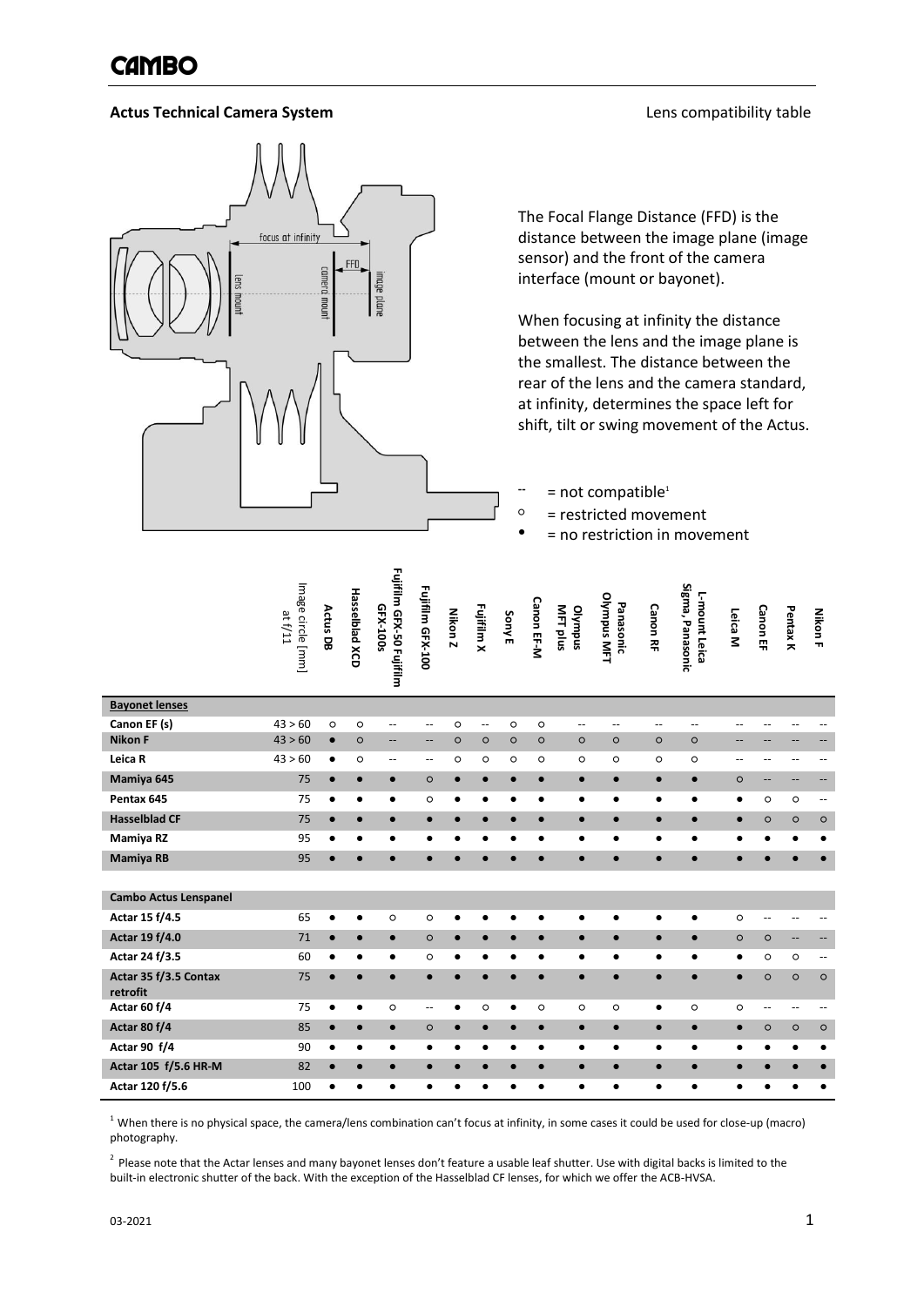### **Actus Technical Camera System Lens compatibility table**



 $\mathbf{r}$ 

The Focal Flange Distance (FFD) is the distance between the image plane (image sensor) and the front of the camera interface (mount or bayonet).

When focusing at infinity the distance between the lens and the image plane is the smallest. The distance between the rear of the lens and the camera standard, at infinity, determines the space left for shift, tilt or swing movement of the Actus.

- **--** = not compatible<sup>1</sup>
- $\circ$  = restricted movement
	- = no restriction in movement

|                                   | Image circle [mm]<br>at f/11 | Actus DB  | <b>Hasselblad XCD</b> | Fujifilm GFX-50 Fujifilm<br>GFX-100s | Fujifilm GFX-100         | Nikon Z    | Fujifilm X               | <b>Sony E</b> | Canon EF-M | MFT plus<br>olympus | Olympus MFT<br>Panasonic | <b>Canon RF</b> | Sigma, Panasonic<br>L-mount Leica | Leica M   | <b>Canon EF</b> | <b>PentaxK</b> | <b>Nikon F</b>           |
|-----------------------------------|------------------------------|-----------|-----------------------|--------------------------------------|--------------------------|------------|--------------------------|---------------|------------|---------------------|--------------------------|-----------------|-----------------------------------|-----------|-----------------|----------------|--------------------------|
| <b>Bayonet lenses</b>             |                              |           |                       |                                      |                          |            |                          |               |            |                     |                          |                 |                                   |           |                 |                |                          |
| Canon EF (s)                      | 43 > 60                      | $\circ$   | O                     | $\overline{\phantom{a}}$             | $\overline{\phantom{a}}$ | $\circ$    | $\overline{\phantom{a}}$ | $\circ$       | $\circ$    | $-$                 | $\overline{\phantom{a}}$ | $-$             | --                                | $-$       | --              | $\overline{a}$ | --                       |
| <b>Nikon F</b>                    | 43 > 60                      | $\bullet$ | $\circ$               | --                                   | $\qquad \qquad -$        | $\circ$    | $\circ$                  | $\circ$       | $\circ$    | $\circ$             | $\circ$                  | $\circ$         | $\circ$                           | --        | --              | --             | $\overline{\phantom{a}}$ |
| Leica R                           | 43 > 60                      | $\bullet$ | $\circ$               | --                                   | $\overline{\phantom{m}}$ | $\circ$    | $\circ$                  | $\circ$       | $\circ$    | $\circ$             | $\circ$                  | $\circ$         | O                                 | --        | --              | --             | --                       |
| Mamiya 645                        | 75                           | $\bullet$ | $\bullet$             | $\bullet$                            | $\circ$                  | $\bullet$  | $\bullet$                | $\bullet$     | $\bullet$  | $\bullet$           | $\bullet$                | $\bullet$       | $\bullet$                         | $\circ$   | --              | --             | ÷                        |
| Pentax 645                        | 75                           | $\bullet$ | ٠                     | $\bullet$                            | O                        | $\bullet$  | ٠                        | ٠             | $\bullet$  | ٠                   | ٠                        | $\bullet$       | ٠                                 | $\bullet$ | O               | $\circ$        | $\overline{\phantom{a}}$ |
| <b>Hasselblad CF</b>              | 75                           |           | $\bullet$             | $\bullet$                            | $\bullet$                |            | $\bullet$                | $\bullet$     | $\bullet$  | $\bullet$           | $\bullet$                | $\bullet$       | $\bullet$                         | $\bullet$ | $\circ$         | $\circ$        | $\circ$                  |
| Mamiya RZ                         | 95                           |           | ٠                     |                                      | ٠                        | $\epsilon$ | ٠                        | $\bullet$     | ٠          | ٠                   | ٠                        | $\bullet$       | ٠                                 | $\bullet$ | $\bullet$       | $\bullet$      | ٠                        |
| <b>Mamiya RB</b>                  | 95                           |           | $\bullet$             | $\bullet$                            | $\bullet$                |            | $\bullet$                | $\bullet$     | $\bullet$  | $\bullet$           | $\bullet$                | $\bullet$       | $\bullet$                         | $\bullet$ | $\bullet$       | $\bullet$      | $\bullet$                |
| <b>Cambo Actus Lenspanel</b>      |                              |           |                       |                                      |                          |            |                          |               |            |                     |                          |                 |                                   |           |                 |                |                          |
| Actar 15 f/4.5                    | 65                           |           | $\bullet$             | $\circ$                              | $\circ$                  | ٠          | ٠                        | ٠             | ٠          | ٠                   | ٠                        | $\bullet$       | ٠                                 | $\circ$   | --              | --             | --                       |
| Actar 19 f/4.0                    | 71                           | $\bullet$ | $\bullet$             | $\bullet$                            | $\circ$                  | $\bullet$  | $\bullet$                | $\bullet$     | $\bullet$  | $\bullet$           | $\bullet$                | $\bullet$       | $\bullet$                         | $\circ$   | $\circ$         | --             | $\overline{\phantom{a}}$ |
| Actar 24 f/3.5                    | 60                           | ٠         | ٠                     | ٠                                    | O                        | ٠          | ٠                        | ٠             | ٠          | $\bullet$           | ٠                        | $\bullet$       | ٠                                 | $\bullet$ | $\circ$         | $\circ$        | $\overline{\phantom{a}}$ |
| Actar 35 f/3.5 Contax<br>retrofit | 75                           | $\bullet$ | $\bullet$             |                                      | $\bullet$                |            | $\bullet$                | $\bullet$     | $\bullet$  | $\bullet$           | $\bullet$                | $\bullet$       | $\bullet$                         | $\bullet$ | $\circ$         | $\circ$        | $\circ$                  |
| Actar 60 f/4                      | 75                           |           | $\bullet$             | $\circ$                              | $-$                      | ٠          | $\circ$                  | ٠             | $\circ$    | $\circ$             | $\circ$                  | $\bullet$       | O                                 | $\circ$   | $-$             | --             | $\overline{\phantom{a}}$ |
| Actar 80 f/4                      | 85                           |           | $\bullet$             | $\bullet$                            | $\circ$                  | $\bullet$  | $\bullet$                | $\bullet$     | $\bullet$  | $\bullet$           | $\bullet$                | $\bullet$       | $\bullet$                         | $\bullet$ | $\circ$         | $\circ$        | $\circ$                  |
| Actar 90 f/4                      | 90                           | ٠         | ٠                     | ٠                                    |                          | C          |                          | ٠             | ٠          | ٠                   | ٠                        | ٠               | ٠                                 | ٠         | ٠               | $\bullet$      | ٠                        |
| Actar 105 f/5.6 HR-M              | 82                           |           | $\bullet$             | $\bullet$                            | $\bullet$                |            | $\bullet$                | $\bullet$     | $\bullet$  | $\bullet$           | $\bullet$                | $\bullet$       | $\bullet$                         | $\bullet$ |                 | $\bullet$      | $\bullet$                |
| Actar 120 f/5.6                   | 100                          |           | ٠                     |                                      | ٠                        | ٠          |                          | ٠             | ٠          | $\bullet$           | $\bullet$                | ٠               | $\bullet$                         | ٠         | ٠               | $\bullet$      | $\bullet$                |

 $1$  When there is no physical space, the camera/lens combination can't focus at infinity, in some cases it could be used for close-up (macro) photography.

<sup>2</sup> Please note that the Actar lenses and many bayonet lenses don't feature a usable leaf shutter. Use with digital backs is limited to the built-in electronic shutter of the back. With the exception of the Hasselblad CF lenses, for which we offer the ACB-HVSA.

Γ